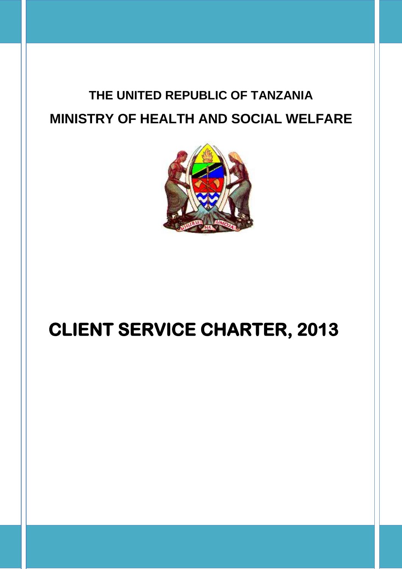# **THE UNITED REPUBLIC OF TANZANIA MINISTRY OF HEALTH AND SOCIAL WELFARE**



# **CLIENT SERVICE CHARTER, 2013**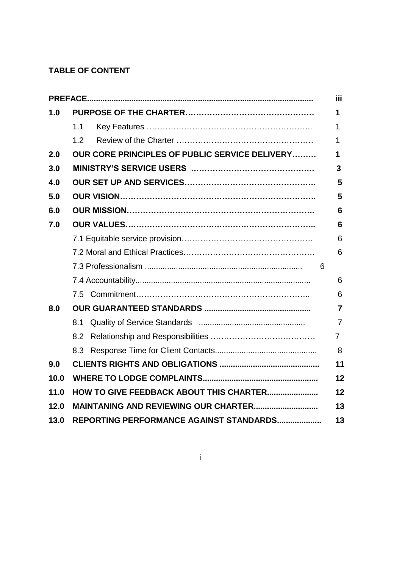## **TABLE OF CONTENT**

|      |                                                     | iii            |  |
|------|-----------------------------------------------------|----------------|--|
| 1.0  |                                                     |                |  |
|      | 1.1                                                 | 1              |  |
|      | 1.2                                                 | 1              |  |
| 2.0  | OUR CORE PRINCIPLES OF PUBLIC SERVICE DELIVERY<br>1 |                |  |
| 3.0  | 3                                                   |                |  |
| 4.0  | 5                                                   |                |  |
| 5.0  | 5                                                   |                |  |
| 6.0  | 6                                                   |                |  |
| 7.0  |                                                     | 6              |  |
|      |                                                     | 6              |  |
|      |                                                     | 6              |  |
|      |                                                     | 6              |  |
|      |                                                     | 6              |  |
|      |                                                     | 6              |  |
| 8.0  |                                                     |                |  |
|      | 8.1                                                 | $\overline{7}$ |  |
|      | 8.2                                                 | $\overline{7}$ |  |
|      |                                                     | 8              |  |
| 9.0  |                                                     | 11             |  |
| 10.0 | 12                                                  |                |  |
| 11.0 | HOW TO GIVE FEEDBACK ABOUT THIS CHARTER<br>12       |                |  |
| 12.0 | <b>MAINTANING AND REVIEWING OUR CHARTER</b><br>13   |                |  |
| 13.0 | REPORTING PERFORMANCE AGAINST STANDARDS<br>13       |                |  |

i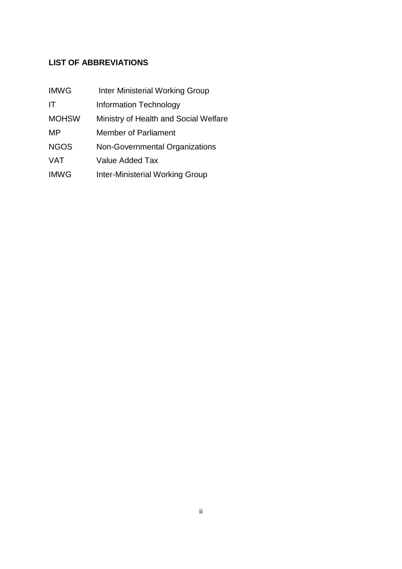## **LIST OF ABBREVIATIONS**

| <b>IMWG</b>  | <b>Inter Ministerial Working Group</b> |
|--------------|----------------------------------------|
| IT           | <b>Information Technology</b>          |
| <b>MOHSW</b> | Ministry of Health and Social Welfare  |
| MP           | Member of Parliament                   |
| <b>NGOS</b>  | Non-Governmental Organizations         |
| <b>VAT</b>   | Value Added Tax                        |
| <b>IMWG</b>  | <b>Inter-Ministerial Working Group</b> |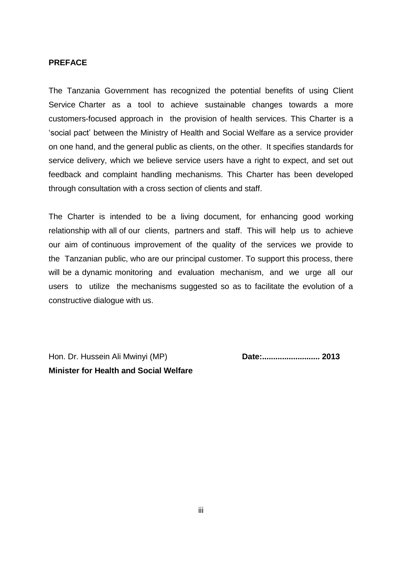#### **PREFACE**

The Tanzania Government has recognized the potential benefits of using Client Service Charter as a tool to achieve sustainable changes towards a more customers-focused approach in the provision of health services. This Charter is a 'social pact' between the Ministry of Health and Social Welfare as a service provider on one hand, and the general public as clients, on the other. It specifies standards for service delivery, which we believe service users have a right to expect, and set out feedback and complaint handling mechanisms. This Charter has been developed through consultation with a cross section of clients and staff.

The Charter is intended to be a living document, for enhancing good working relationship with all of our clients, partners and staff. This will help us to achieve our aim of continuous improvement of the quality of the services we provide to the Tanzanian public, who are our principal customer. To support this process, there will be a dynamic monitoring and evaluation mechanism, and we urge all our users to utilize the mechanisms suggested so as to facilitate the evolution of a constructive dialogue with us.

Hon. Dr. Hussein Ali Mwinyi (MP) **Date:.......................... 2013 Minister for Health and Social Welfare**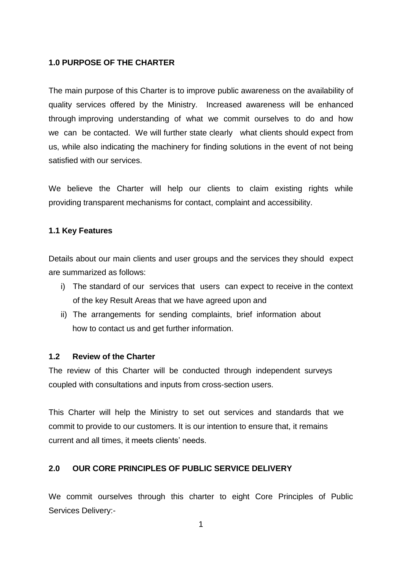## **1.0 PURPOSE OF THE CHARTER**

The main purpose of this Charter is to improve public awareness on the availability of quality services offered by the Ministry. Increased awareness will be enhanced through improving understanding of what we commit ourselves to do and how we can be contacted. We will further state clearly what clients should expect from us, while also indicating the machinery for finding solutions in the event of not being satisfied with our services.

We believe the Charter will help our clients to claim existing rights while providing transparent mechanisms for contact, complaint and accessibility.

## **1.1 Key Features**

Details about our main clients and user groups and the services they should expect are summarized as follows:

- i) The standard of our services that users can expect to receive in the context of the key Result Areas that we have agreed upon and
- ii) The arrangements for sending complaints, brief information about how to contact us and get further information.

#### **1.2 Review of the Charter**

The review of this Charter will be conducted through independent surveys coupled with consultations and inputs from cross-section users.

This Charter will help the Ministry to set out services and standards that we commit to provide to our customers. It is our intention to ensure that, it remains current and all times, it meets clients' needs.

## **2.0 OUR CORE PRINCIPLES OF PUBLIC SERVICE DELIVERY**

We commit ourselves through this charter to eight Core Principles of Public Services Delivery:-

1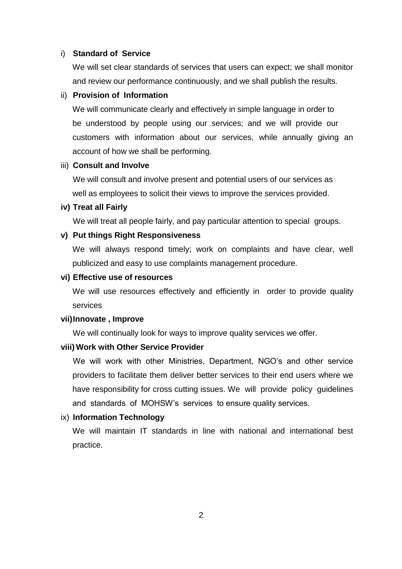#### i) **Standard of Service**

We will set clear standards of services that users can expect; we shall monitor and review our performance continuously, and we shall publish the results.

#### ii) **Provision of Information**

We will communicate clearly and effectively in simple language in order to be understood by people using our services; and we will provide our customers with information about our services, while annually giving an account of how we shall be performing.

#### iii) **Consult and Involve**

We will consult and involve present and potential users of our services as well as employees to solicit their views to improve the services provided.

#### **iv) Treat all Fairly**

We will treat all people fairly, and pay particular attention to special groups.

#### **v) Put things Right Responsiveness**

We will always respond timely; work on complaints and have clear, well publicized and easy to use complaints management procedure.

#### **vi) Effective use of resources**

We will use resources effectively and efficiently in order to provide quality services

#### **vii)Innovate , Improve**

We will continually look for ways to improve quality services we offer.

#### **viii) Work with Other Service Provider**

We will work with other Ministries, Department, NGO's and other service providers to facilitate them deliver better services to their end users where we have responsibility for cross cutting issues. We will provide policy guidelines and standards of MOHSW's services to ensure quality services.

## ix) **Information Technology**

We will maintain IT standards in line with national and international best practice.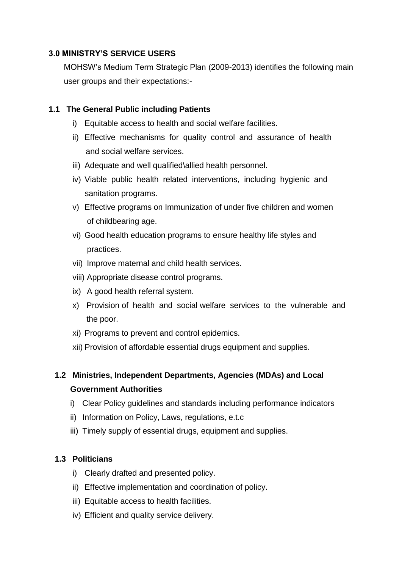## **3.0 MINISTRY'S SERVICE USERS**

MOHSW's Medium Term Strategic Plan (2009-2013) identifies the following main user groups and their expectations:-

## **1.1 The General Public including Patients**

- i) Equitable access to health and social welfare facilities.
- ii) Effective mechanisms for quality control and assurance of health and social welfare services.
- iii) Adequate and well qualified\allied health personnel.
- iv) Viable public health related interventions, including hygienic and sanitation programs.
- v) Effective programs on Immunization of under five children and women of childbearing age.
- vi) Good health education programs to ensure healthy life styles and practices.
- vii) Improve maternal and child health services.
- viii) Appropriate disease control programs.
- ix) A good health referral system.
- x) Provision of health and social welfare services to the vulnerable and the poor.
- xi) Programs to prevent and control epidemics.
- xii) Provision of affordable essential drugs equipment and supplies.

# **1.2 Ministries, Independent Departments, Agencies (MDAs) and Local Government Authorities**

- i) Clear Policy guidelines and standards including performance indicators
- ii) Information on Policy, Laws, regulations, e.t.c
- iii) Timely supply of essential drugs, equipment and supplies.

## **1.3 Politicians**

- i) Clearly drafted and presented policy.
- ii) Effective implementation and coordination of policy.
- iii) Equitable access to health facilities.
- iv) Efficient and quality service delivery.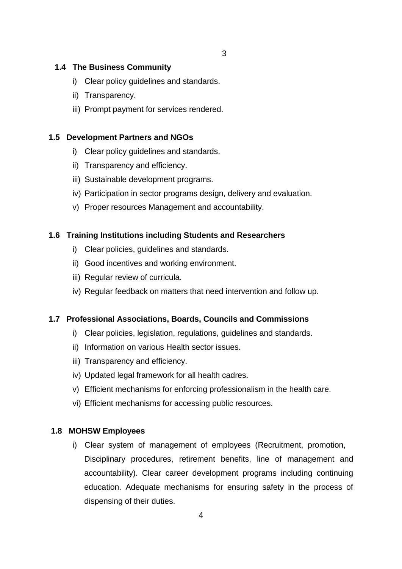## **1.4 The Business Community**

- i) Clear policy guidelines and standards.
- ii) Transparency.
- iii) Prompt payment for services rendered.

## **1.5 Development Partners and NGOs**

- i) Clear policy guidelines and standards.
- ii) Transparency and efficiency.
- iii) Sustainable development programs.
- iv) Participation in sector programs design, delivery and evaluation.
- v) Proper resources Management and accountability.

## **1.6 Training Institutions including Students and Researchers**

- i) Clear policies, guidelines and standards.
- ii) Good incentives and working environment.
- iii) Regular review of curricula.
- iv) Regular feedback on matters that need intervention and follow up.

#### **1.7 Professional Associations, Boards, Councils and Commissions**

- i) Clear policies, legislation, regulations, guidelines and standards.
- ii) Information on various Health sector issues.
- iii) Transparency and efficiency.
- iv) Updated legal framework for all health cadres.
- v) Efficient mechanisms for enforcing professionalism in the health care.
- vi) Efficient mechanisms for accessing public resources.

#### **1.8 MOHSW Employees**

i) Clear system of management of employees (Recruitment, promotion, Disciplinary procedures, retirement benefits, line of management and accountability). Clear career development programs including continuing education. Adequate mechanisms for ensuring safety in the process of dispensing of their duties.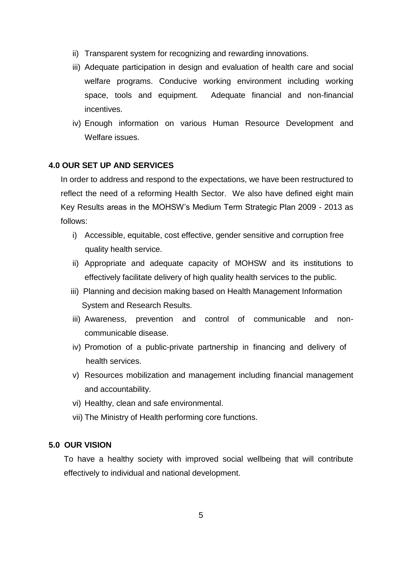- ii) Transparent system for recognizing and rewarding innovations.
- iii) Adequate participation in design and evaluation of health care and social welfare programs. Conducive working environment including working space, tools and equipment. Adequate financial and non-financial incentives.
- iv) Enough information on various Human Resource Development and Welfare issues.

#### **4.0 OUR SET UP AND SERVICES**

In order to address and respond to the expectations, we have been restructured to reflect the need of a reforming Health Sector. We also have defined eight main Key Results areas in the MOHSW's Medium Term Strategic Plan 2009 - 2013 as follows:

- i) Accessible, equitable, cost effective, gender sensitive and corruption free quality health service.
- ii) Appropriate and adequate capacity of MOHSW and its institutions to effectively facilitate delivery of high quality health services to the public.
- iii) Planning and decision making based on Health Management Information System and Research Results.
- iii) Awareness, prevention and control of communicable and noncommunicable disease.
- iv) Promotion of a public-private partnership in financing and delivery of health services.
- v) Resources mobilization and management including financial management and accountability.
- vi) Healthy, clean and safe environmental.
- vii) The Ministry of Health performing core functions.

## **5.0 OUR VISION**

To have a healthy society with improved social wellbeing that will contribute effectively to individual and national development.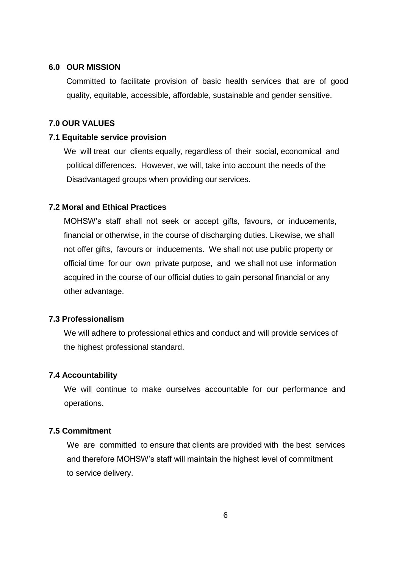#### **6.0 OUR MISSION**

 Committed to facilitate provision of basic health services that are of good quality, equitable, accessible, affordable, sustainable and gender sensitive.

## **7.0 OUR VALUES**

#### **7.1 Equitable service provision**

We will treat our clients equally, regardless of their social, economical and political differences. However, we will, take into account the needs of the Disadvantaged groups when providing our services.

#### **7.2 Moral and Ethical Practices**

MOHSW's staff shall not seek or accept gifts, favours, or inducements, financial or otherwise, in the course of discharging duties. Likewise, we shall not offer gifts, favours or inducements. We shall not use public property or official time for our own private purpose, and we shall not use information acquired in the course of our official duties to gain personal financial or any other advantage.

### **7.3 Professionalism**

We will adhere to professional ethics and conduct and will provide services of the highest professional standard.

#### **7.4 Accountability**

 We will continue to make ourselves accountable for our performance and operations.

#### **7.5 Commitment**

We are committed to ensure that clients are provided with the best services and therefore MOHSW's staff will maintain the highest level of commitment to service delivery.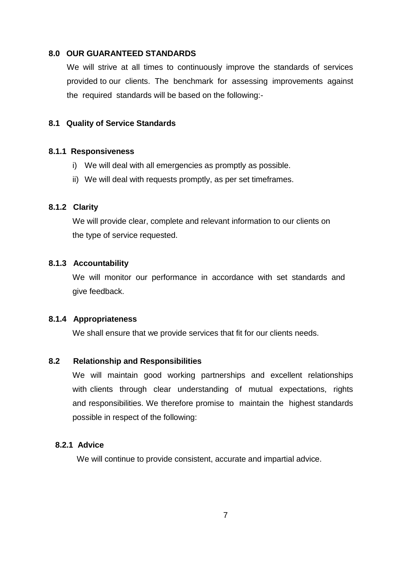#### **8.0 OUR GUARANTEED STANDARDS**

We will strive at all times to continuously improve the standards of services provided to our clients. The benchmark for assessing improvements against the required standards will be based on the following:-

#### **8.1 Quality of Service Standards**

#### **8.1.1 Responsiveness**

- i) We will deal with all emergencies as promptly as possible.
- ii) We will deal with requests promptly, as per set timeframes.

#### **8.1.2 Clarity**

We will provide clear, complete and relevant information to our clients on the type of service requested.

### **8.1.3 Accountability**

We will monitor our performance in accordance with set standards and give feedback.

#### **8.1.4 Appropriateness**

We shall ensure that we provide services that fit for our clients needs.

#### **8.2 Relationship and Responsibilities**

We will maintain good working partnerships and excellent relationships with clients through clear understanding of mutual expectations, rights and responsibilities. We therefore promise to maintain the highest standards possible in respect of the following:

## **8.2.1 Advice**

We will continue to provide consistent, accurate and impartial advice.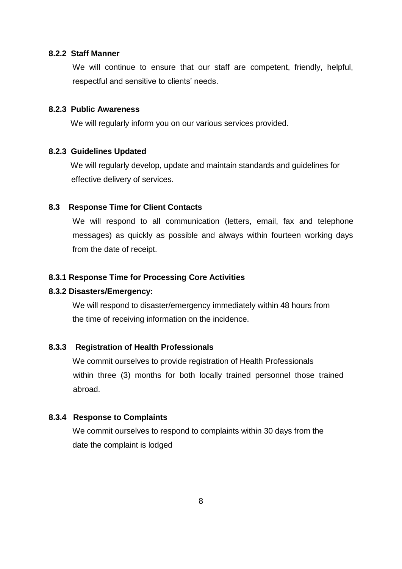#### **8.2.2 Staff Manner**

We will continue to ensure that our staff are competent, friendly, helpful, respectful and sensitive to clients' needs.

## **8.2.3 Public Awareness**

We will regularly inform you on our various services provided.

#### **8.2.3 Guidelines Updated**

 We will regularly develop, update and maintain standards and guidelines for effective delivery of services.

## **8.3 Response Time for Client Contacts**

We will respond to all communication (letters, email, fax and telephone messages) as quickly as possible and always within fourteen working days from the date of receipt.

#### **8.3.1 Response Time for Processing Core Activities**

#### **8.3.2 Disasters/Emergency:**

We will respond to disaster/emergency immediately within 48 hours from the time of receiving information on the incidence.

#### **8.3.3 Registration of Health Professionals**

We commit ourselves to provide registration of Health Professionals within three (3) months for both locally trained personnel those trained abroad.

## **8.3.4 Response to Complaints**

We commit ourselves to respond to complaints within 30 days from the date the complaint is lodged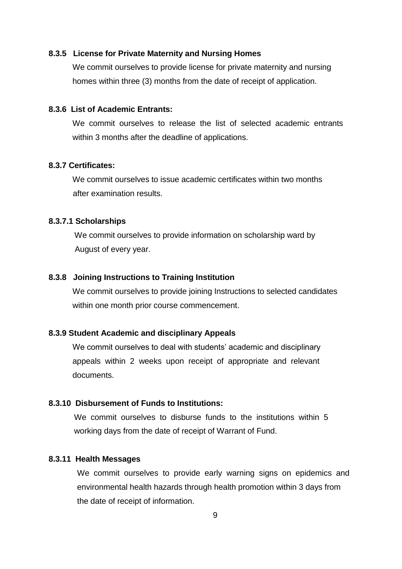#### **8.3.5 License for Private Maternity and Nursing Homes**

We commit ourselves to provide license for private maternity and nursing homes within three (3) months from the date of receipt of application.

## **8.3.6 List of Academic Entrants:**

We commit ourselves to release the list of selected academic entrants within 3 months after the deadline of applications.

#### **8.3.7 Certificates:**

We commit ourselves to issue academic certificates within two months after examination results.

#### **8.3.7.1 Scholarships**

We commit ourselves to provide information on scholarship ward by August of every year.

#### **8.3.8 Joining Instructions to Training Institution**

We commit ourselves to provide joining Instructions to selected candidates within one month prior course commencement.

#### **8.3.9 Student Academic and disciplinary Appeals**

We commit ourselves to deal with students' academic and disciplinary appeals within 2 weeks upon receipt of appropriate and relevant documents.

## **8.3.10 Disbursement of Funds to Institutions:**

We commit ourselves to disburse funds to the institutions within 5 working days from the date of receipt of Warrant of Fund.

#### **8.3.11 Health Messages**

We commit ourselves to provide early warning signs on epidemics and environmental health hazards through health promotion within 3 days from the date of receipt of information.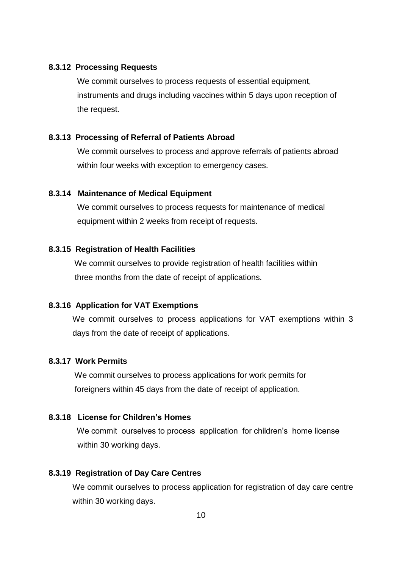#### **8.3.12 Processing Requests**

We commit ourselves to process requests of essential equipment, instruments and drugs including vaccines within 5 days upon reception of the request.

## **8.3.13 Processing of Referral of Patients Abroad**

We commit ourselves to process and approve referrals of patients abroad within four weeks with exception to emergency cases.

#### **8.3.14 Maintenance of Medical Equipment**

We commit ourselves to process requests for maintenance of medical equipment within 2 weeks from receipt of requests.

## **8.3.15 Registration of Health Facilities**

We commit ourselves to provide registration of health facilities within three months from the date of receipt of applications.

#### **8.3.16 Application for VAT Exemptions**

We commit ourselves to process applications for VAT exemptions within 3 days from the date of receipt of applications.

## **8.3.17 Work Permits**

We commit ourselves to process applications for work permits for foreigners within 45 days from the date of receipt of application.

## **8.3.18 License for Children's Homes**

 We commit ourselves to process application for children's home license within 30 working days.

## **8.3.19 Registration of Day Care Centres**

We commit ourselves to process application for registration of day care centre within 30 working days.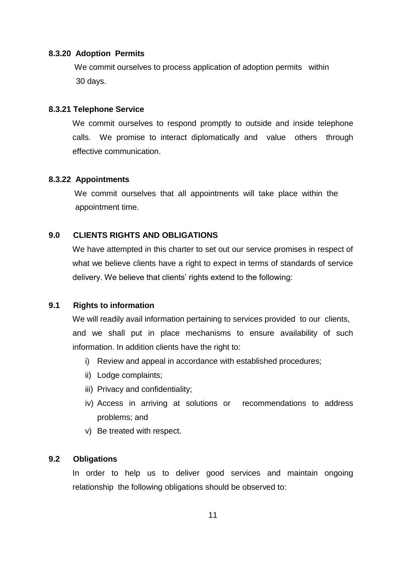#### **8.3.20 Adoption Permits**

We commit ourselves to process application of adoption permits within 30 days.

#### **8.3.21 Telephone Service**

We commit ourselves to respond promptly to outside and inside telephone calls. We promise to interact diplomatically and value others through effective communication.

#### **8.3.22 Appointments**

We commit ourselves that all appointments will take place within the appointment time.

## **9.0 CLIENTS RIGHTS AND OBLIGATIONS**

We have attempted in this charter to set out our service promises in respect of what we believe clients have a right to expect in terms of standards of service delivery. We believe that clients' rights extend to the following:

#### **9.1 Rights to information**

We will readily avail information pertaining to services provided to our clients, and we shall put in place mechanisms to ensure availability of such information. In addition clients have the right to:

- i) Review and appeal in accordance with established procedures;
- ii) Lodge complaints;
- iii) Privacy and confidentiality;
- iv) Access in arriving at solutions or recommendations to address problems; and
- v) Be treated with respect.

#### **9.2 Obligations**

In order to help us to deliver good services and maintain ongoing relationship the following obligations should be observed to: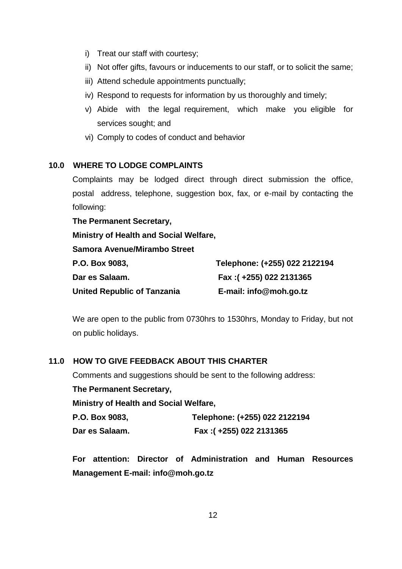- i) Treat our staff with courtesy;
- ii) Not offer gifts, favours or inducements to our staff, or to solicit the same;
- iii) Attend schedule appointments punctually;
- iv) Respond to requests for information by us thoroughly and timely;
- v) Abide with the legal requirement, which make you eligible for services sought; and
- vi) Comply to codes of conduct and behavior

## **10.0 WHERE TO LODGE COMPLAINTS**

Complaints may be lodged direct through direct submission the office, postal address, telephone, suggestion box, fax, or e-mail by contacting the following:

**The Permanent Secretary, Ministry of Health and Social Welfare, Samora Avenue/Mirambo Street P.O. Box 9083, Telephone: (+255) 022 2122194 Dar es Salaam. Fax :( +255) 022 2131365 United Republic of Tanzania E-mail: info@moh.go.tz**

We are open to the public from 0730hrs to 1530hrs, Monday to Friday, but not on public holidays.

## **11.0 HOW TO GIVE FEEDBACK ABOUT THIS CHARTER**

Comments and suggestions should be sent to the following address:

**The Permanent Secretary,** 

**Ministry of Health and Social Welfare,** 

| P.O. Box 9083, | Telephone: (+255) 022 2122194 |
|----------------|-------------------------------|
| Dar es Salaam. | Fax: (+255) 022 2131365       |

**For attention: Director of Administration and Human Resources Management E-mail: info@moh.go.tz**